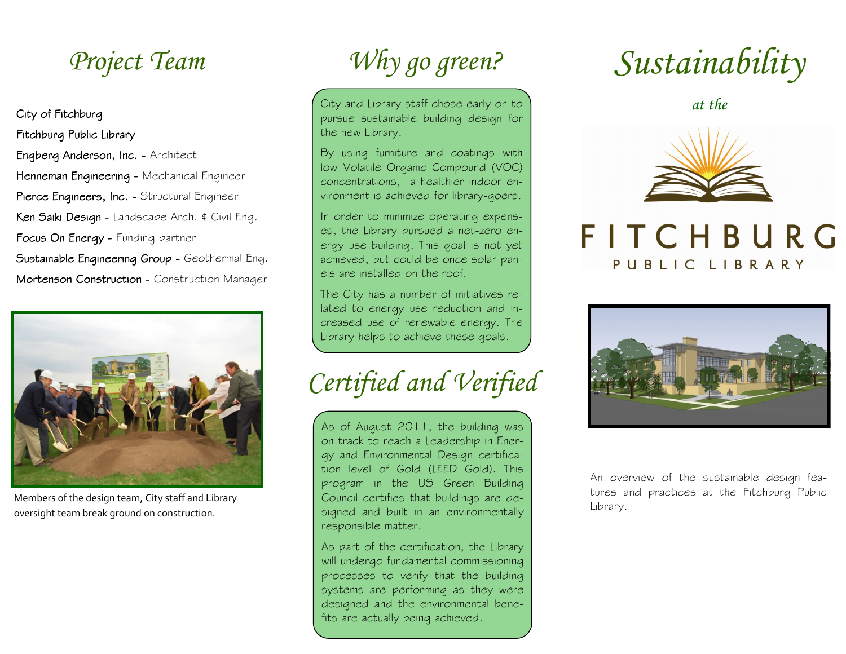City of Fitchburg Fitchburg Public Library Engberg Anderson, Inc. - Architect Henneman Engineering - Mechanical Engineer Pierce Engineers, Inc. - Structural Engineer Ken Saiki Design - Landscape Arch. & Civil Eng. Focus On Energy - Funding partner Sustainable Engineering Group - Geothermal Eng. Mortenson Construction - Construction Manager



Members of the design team, City staff and Library oversight team break ground on construction.

# *Project Team Why go green?*

City and Library staff chose early on to pursue sustainable building design for the new Library.

By using furniture and coatings with low Volatile Organic Compound (VOC) concentrations, a healthier indoor environment is achieved for library-goers.

In order to minimize operating expenses, the Library pursued a net-zero energy use building. This goal is not yet achieved, but could be once solar panels are installed on the roof.

The City has a number of initiatives related to energy use reduction and increased use of renewable energy. The Library helps to achieve these goals.

## *Certified and Verified*

As of August 2011, the building was on track to reach a Leadership in Energy and Environmental Design certification level of Gold (LEED Gold). This program in the US Green Building Council certifies that buildings are designed and built in an environmentally responsible matter.

As part of the certification, the Library will undergo fundamental commissioning processes to verify that the building systems are performing as they were designed and the environmental benefits are actually being achieved.

*Sustainability*

*at the*



### FITCHBURG PUBLIC LIBRARY



An overview of the sustainable design features and practices at the Fitchburg Public Library.